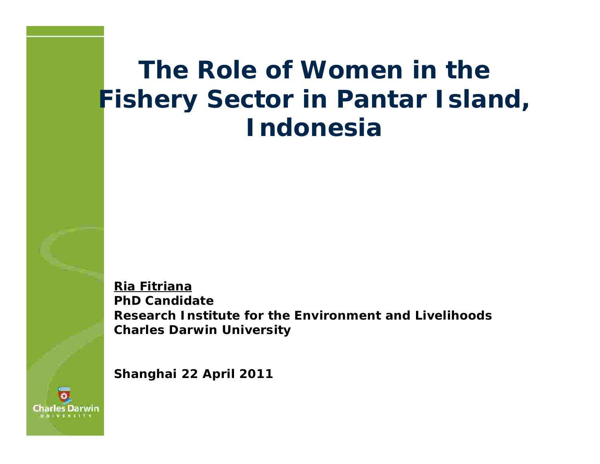#### **The Role of Women in the Fishery Sector in Pantar Island, Indonesia**

**Ria Fitriana PhD Candidate Research Institute for the Environment and Livelihoods Charles Darwin University**

**Shanghai 22 April 2011**

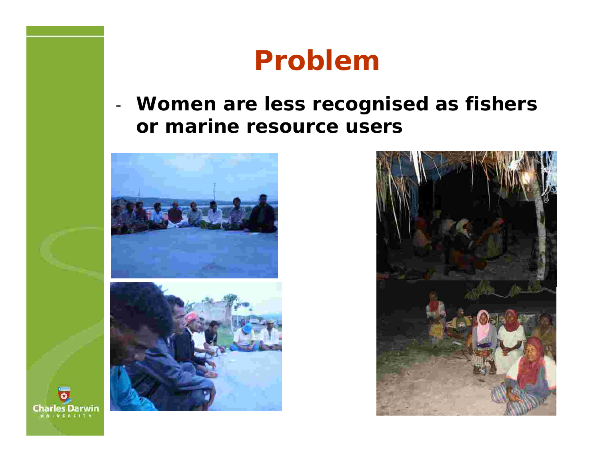#### **Problem**

**Women are less recognised as fishers or marine resource users**





**Charles Darwin IWERSITY** 

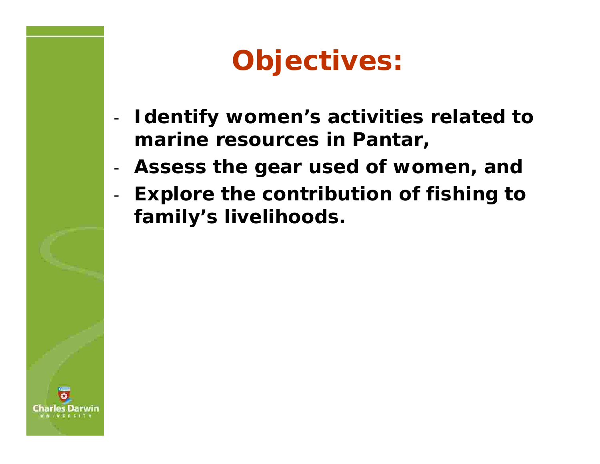# **Objectives:**

- **Identify women's activities related to marine resources in Pantar,**
- **Assess the gear used of women, and** -
- **Explore the contribution of fishing to family's livelihoods.**

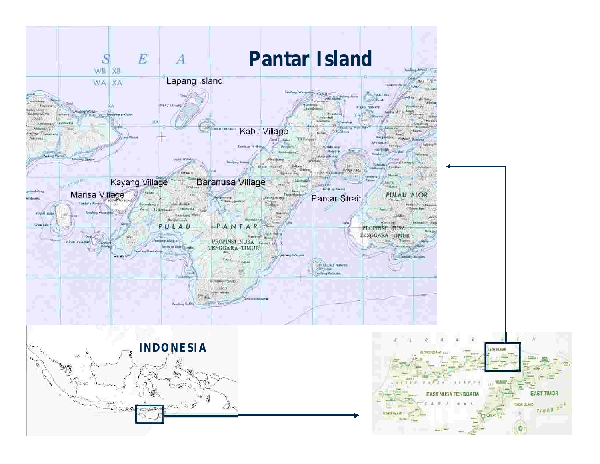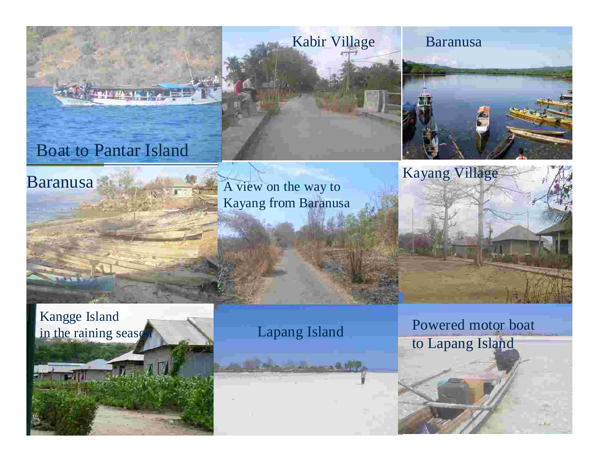

A view on the way to Kayang from Baranusa



Kangge Island in the raining seaso

**Baranusa** 

#### Lapang Island

الألقم ستشادون

Powered motor boat to Lapang Island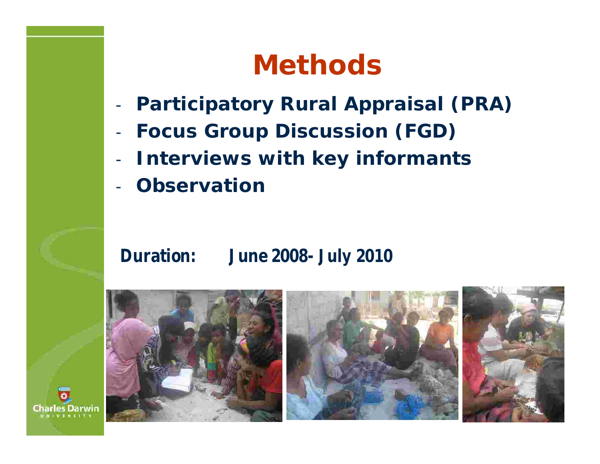## **Methods**

- **Participatory Rural Appraisal (PRA)** -
- **Focus Group Discussion (FGD)** -
- **Interviews with key informants** -
- **Observation** -

#### **Duration: June 2008- July 2010**

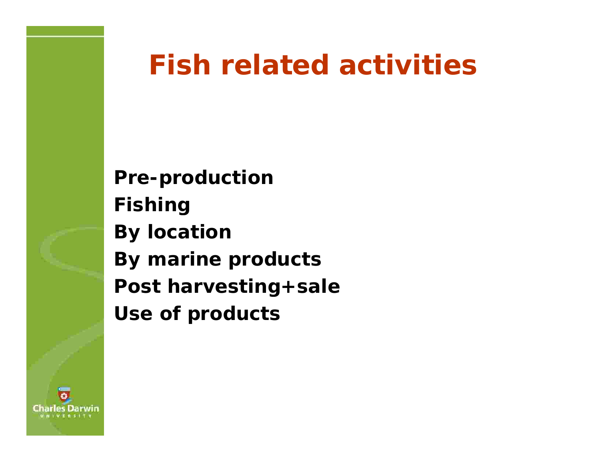## **Fish related activities**

**Pre-production Fishing By location By marine products Post harvesting+sale Use of products**

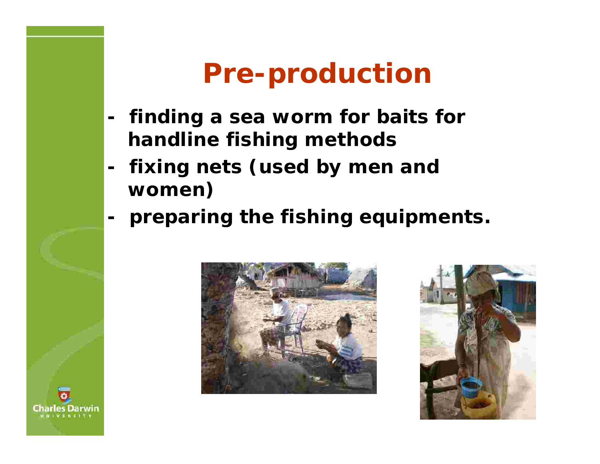## **Pre-production**

- **- finding a sea worm for baits for handline fishing methods**
- **- fixing nets (used by men and women)**
- **- preparing the fishing equipments.**





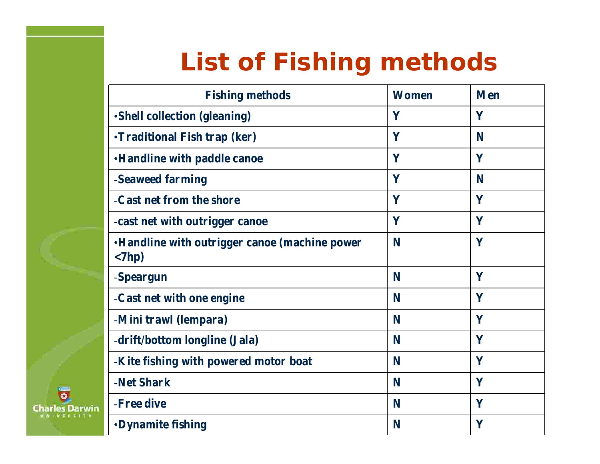## **List of Fishing methods**

| <b>Fishing methods</b>                                                        | <b>Women</b> | <b>Men</b> |
|-------------------------------------------------------------------------------|--------------|------------|
| •Shell collection (gleaning)                                                  | Y            | Y          |
| <b>•Traditional Fish trap (ker)</b>                                           | Y            | N          |
| <b>•Handline with paddle canoe</b>                                            | Y            | Y          |
| -Seaweed farming                                                              | Y            | N          |
| -Cast net from the shore                                                      | Y            | Y          |
| -cast net with outrigger canoe                                                | Y            | Y          |
| <b>•Handline with outrigger canoe (machine power</b><br>$\langle 7hp \rangle$ | N            | Y          |
| -Speargun                                                                     | N            | Y          |
| -Cast net with one engine                                                     | N            | Y          |
| -Mini trawl (lempara)                                                         | N            | Y          |
| -drift/bottom longline (Jala)                                                 | N            | Y          |
| -Kite fishing with powered motor boat                                         | N            | Y          |
| -Net Shark                                                                    | N            | Y          |
| -Free dive                                                                    | N            | Y          |
| <b>•Dynamite fishing</b>                                                      | N            | Y          |

**Charles Darwin IN IVERSITY**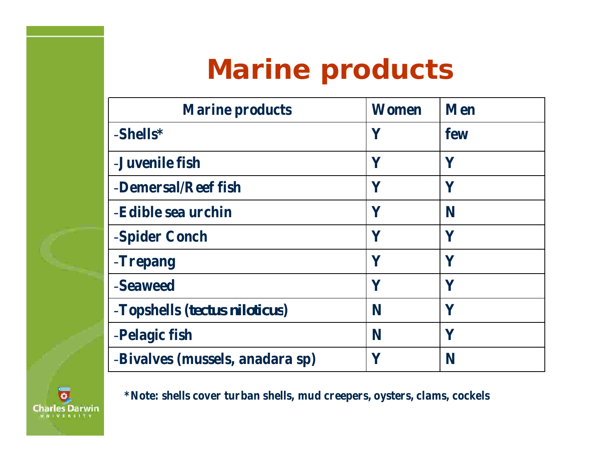## **Marine products**

| <b>Marine products</b>          | Women | <b>Men</b>   |
|---------------------------------|-------|--------------|
| -Shells*                        | Y     | few          |
| -Juvenile fish                  | Y     | $\mathbf Y$  |
| -Demersal/Reef fish             | Y     | Y            |
| -Edible sea urchin              | Y     | N            |
| -Spider Conch                   | Y     | Y            |
| -Trepang                        | Y     | $\mathbf V$  |
| -Seaweed                        | Y     | $\mathbf{Y}$ |
| -Topshells (tectus niloticus)   | N     | $\mathbf Y$  |
| -Pelagic fish                   | N     | Y            |
| -Bivalves (mussels, anadara sp) | Y     | N            |



**\*Note: shells cover turban shells, mud creepers, oysters, clams, cockels**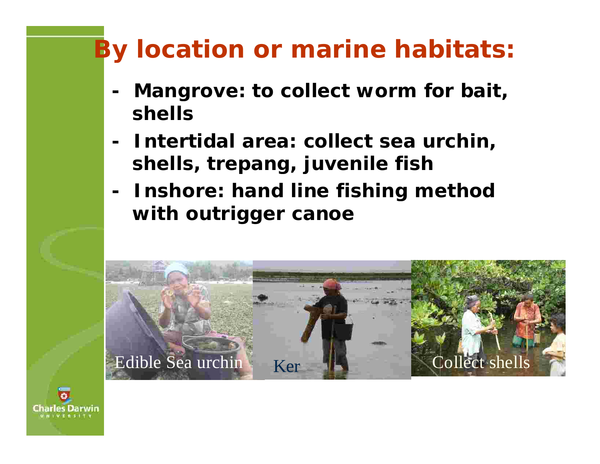## **By location or marine habitats:**

- **- Mangrove: to collect worm for bait, shells**
- **- Intertidal area: collect sea urchin, shells, trepang, juvenile fish**
- **- Inshore: hand line fishing method with outrigger canoe**



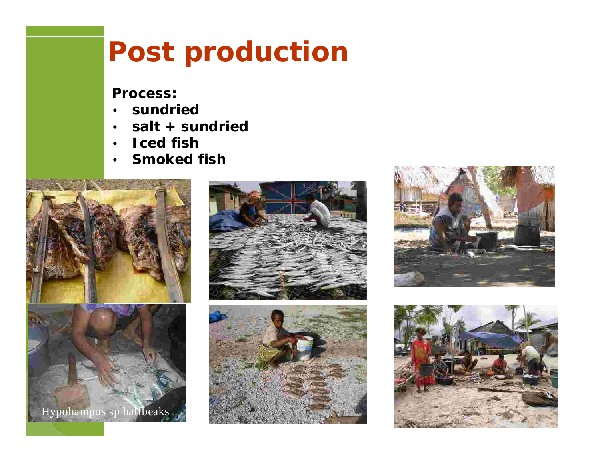## **Post production**

**Process:**

- **sundried** •
- **salt + sundried**  $\bullet$
- **Iced fish** •
- **Smoked fish** •









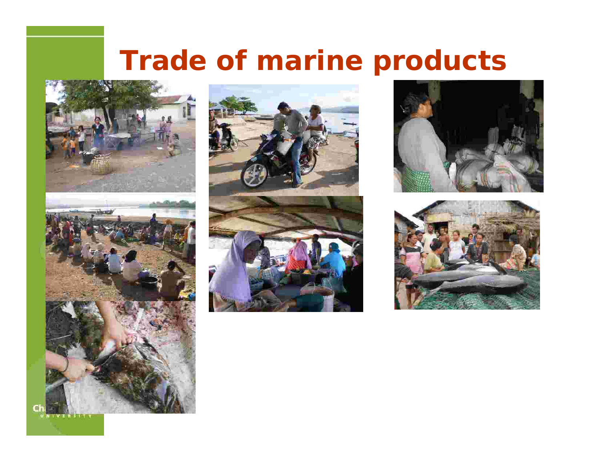# **Trade of marine products**









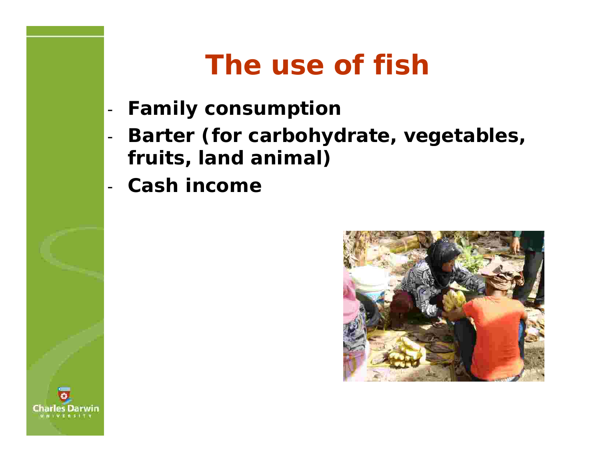## **The use of fish**

- **Family consumption** -
- **Barter (for carbohydrate, vegetables, fruits, land animal)**
- **Cash income** -



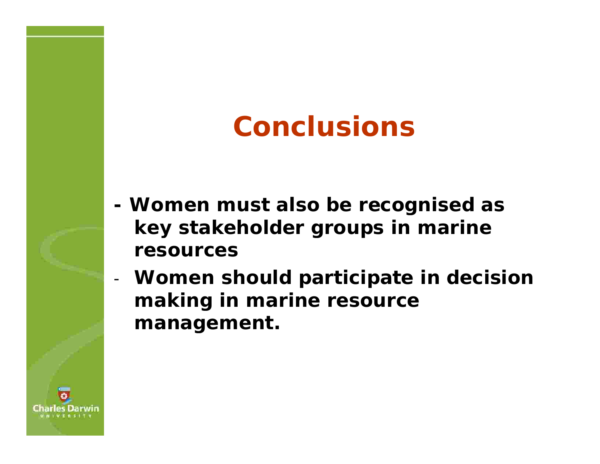# **Conclusions**

- **- Women must also be recognised as key stakeholder groups in marine resources**
- **Women should participate in decision making in marine resource management.**